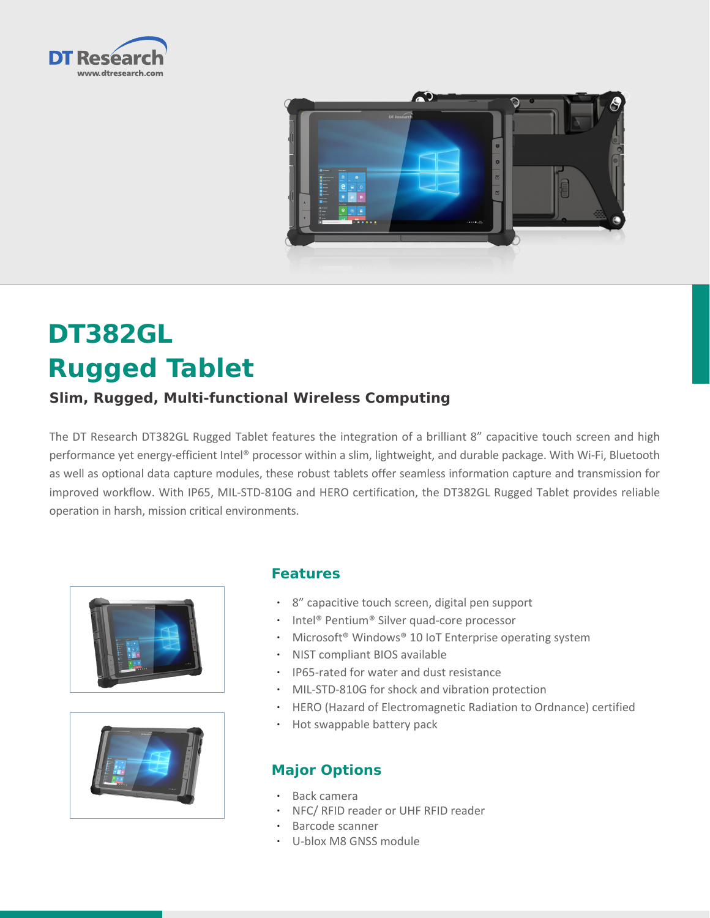



# **DT382GL Rugged Tablet**

## **Slim, Rugged, Multi-functional Wireless Computing**

The DT Research DT382GL Rugged Tablet features the integration of a brilliant 8" capacitive touch screen and high performance yet energy-efficient Intel® processor within a slim, lightweight, and durable package. With Wi-Fi, Bluetooth as well as optional data capture modules, these robust tablets offer seamless information capture and transmission for improved workflow. With IP65, MIL-STD-810G and HERO certification, the DT382GL Rugged Tablet provides reliable operation in harsh, mission critical environments.





#### **Features**

- • 8" capacitive touch screen, digital pen support
- Intel® Pentium® Silver quad-core processor
- Microsoft® Windows® 10 IoT Enterprise operating system
- • NIST compliant BIOS available
- • IP65-rated for water and dust resistance
- MIL-STD-810G for shock and vibration protection
- • HERO (Hazard of Electromagnetic Radiation to Ordnance) certified
- Hot swappable battery pack

#### **Major Options**

- Back camera
- NFC/ RFID reader or UHF RFID reader
- Barcode scanner
- • U-blox M8 GNSS module